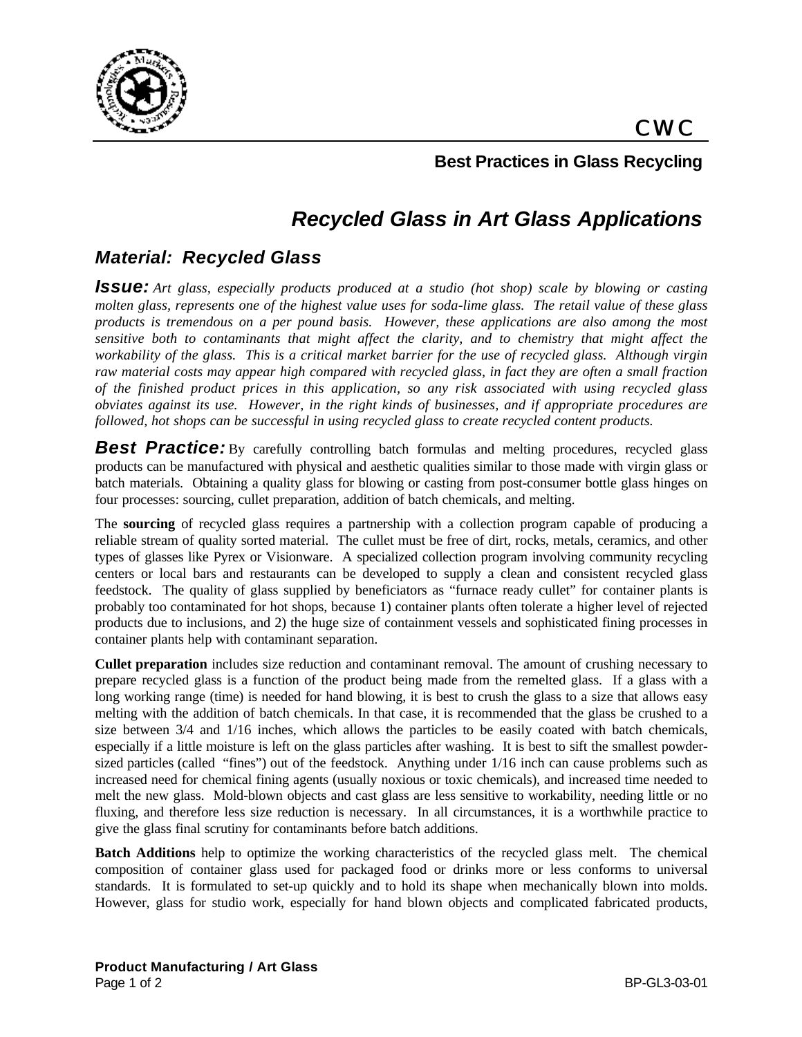

## **Best Practices in Glass Recycling**

# *Recycled Glass in Art Glass Applications*

## *Material: Recycled Glass*

*Issue: Art glass, especially products produced at a studio (hot shop) scale by blowing or casting molten glass, represents one of the highest value uses for soda-lime glass. The retail value of these glass products is tremendous on a per pound basis. However, these applications are also among the most sensitive both to contaminants that might affect the clarity, and to chemistry that might affect the workability of the glass. This is a critical market barrier for the use of recycled glass. Although virgin raw material costs may appear high compared with recycled glass, in fact they are often a small fraction of the finished product prices in this application, so any risk associated with using recycled glass obviates against its use. However, in the right kinds of businesses, and if appropriate procedures are followed, hot shops can be successful in using recycled glass to create recycled content products.*

**Best Practice:** By carefully controlling batch formulas and melting procedures, recycled glass products can be manufactured with physical and aesthetic qualities similar to those made with virgin glass or batch materials. Obtaining a quality glass for blowing or casting from post-consumer bottle glass hinges on four processes: sourcing, cullet preparation, addition of batch chemicals, and melting.

The **sourcing** of recycled glass requires a partnership with a collection program capable of producing a reliable stream of quality sorted material. The cullet must be free of dirt, rocks, metals, ceramics, and other types of glasses like Pyrex or Visionware. A specialized collection program involving community recycling centers or local bars and restaurants can be developed to supply a clean and consistent recycled glass feedstock. The quality of glass supplied by beneficiators as "furnace ready cullet" for container plants is probably too contaminated for hot shops, because 1) container plants often tolerate a higher level of rejected products due to inclusions, and 2) the huge size of containment vessels and sophisticated fining processes in container plants help with contaminant separation.

**Cullet preparation** includes size reduction and contaminant removal. The amount of crushing necessary to prepare recycled glass is a function of the product being made from the remelted glass. If a glass with a long working range (time) is needed for hand blowing, it is best to crush the glass to a size that allows easy melting with the addition of batch chemicals. In that case, it is recommended that the glass be crushed to a size between 3/4 and 1/16 inches, which allows the particles to be easily coated with batch chemicals, especially if a little moisture is left on the glass particles after washing. It is best to sift the smallest powdersized particles (called "fines") out of the feedstock. Anything under  $1/16$  inch can cause problems such as increased need for chemical fining agents (usually noxious or toxic chemicals), and increased time needed to melt the new glass. Mold-blown objects and cast glass are less sensitive to workability, needing little or no fluxing, and therefore less size reduction is necessary. In all circumstances, it is a worthwhile practice to give the glass final scrutiny for contaminants before batch additions.

**Batch Additions** help to optimize the working characteristics of the recycled glass melt. The chemical composition of container glass used for packaged food or drinks more or less conforms to universal standards. It is formulated to set-up quickly and to hold its shape when mechanically blown into molds. However, glass for studio work, especially for hand blown objects and complicated fabricated products,